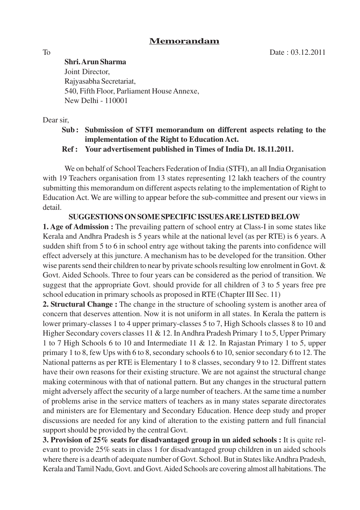## **Memorandam**

**Shri. Arun Sharma** Joint Director,

Rajyasabha Secretariat, 540, Fifth Floor, Parliament House Annexe, New Delhi - 110001

Dear sir,

## **Sub : Submission of STFI memorandum on different aspects relating to the implementation of the Right to Education Act.**

**Ref : Your advertisement published in Times of India Dt. 18.11.2011.**

We on behalf of School Teachers Federation of India (STFI), an all India Organisation with 19 Teachers organisation from 13 states representing 12 lakh teachers of the country submitting this memorandum on different aspects relating to the implementation of Right to Education Act. We are willing to appear before the sub-committee and present our views in detail.

**SUGGESTIONS ON SOME SPECIFIC ISSUES ARE LISTED BELOW**

**1. Age of Admission :** The prevailing pattern of school entry at Class-I in some states like Kerala and Andhra Pradesh is 5 years while at the national level (as per RTE) is 6 years. A sudden shift from 5 to 6 in school entry age without taking the parents into confidence will effect adversely at this juncture. A mechanism has to be developed for the transition. Other wise parents send their children to near by private schools resulting low enrolment in Govt. & Govt. Aided Schools. Three to four years can be considered as the period of transition. We suggest that the appropriate Govt. should provide for all children of 3 to 5 years free pre school education in primary schools as proposed in RTE (Chapter III Sec. 11)

**2. Structural Change :** The change in the structure of schooling system is another area of concern that deserves attention. Now it is not uniform in all states. In Kerala the pattern is lower primary-classes 1 to 4 upper primary-classes 5 to 7, High Schools classes 8 to 10 and Higher Secondary covers classes 11 & 12. In Andhra Pradesh Primary 1 to 5, Upper Primary 1 to 7 High Schools 6 to 10 and Intermediate 11 & 12. In Rajastan Primary 1 to 5, upper primary 1 to 8, few Ups with 6 to 8, secondary schools 6 to 10, senior secondary 6 to 12. The National patterns as per RTE is Elementary 1 to 8 classes, secondary 9 to 12. Diffrent states have their own reasons for their existing structure. We are not against the structural change making coterminous with that of national pattern. But any changes in the structural pattern might adversely affect the security of a large number of teachers. At the same time a number of problems arise in the service matters of teachers as in many states separate directorates and ministers are for Elementary and Secondary Education. Hence deep study and proper discussions are needed for any kind of alteration to the existing pattern and full financial support should be provided by the central Govt.

**3. Provision of 25% seats for disadvantaged group in un aided schools :** It is quite relevant to provide 25% seats in class 1 for disadvantaged group children in un aided schools where there is a dearth of adequate number of Govt. School. But in States like Andhra Pradesh, Kerala and Tamil Nadu, Govt. and Govt. Aided Schools are covering almost all habitations. The